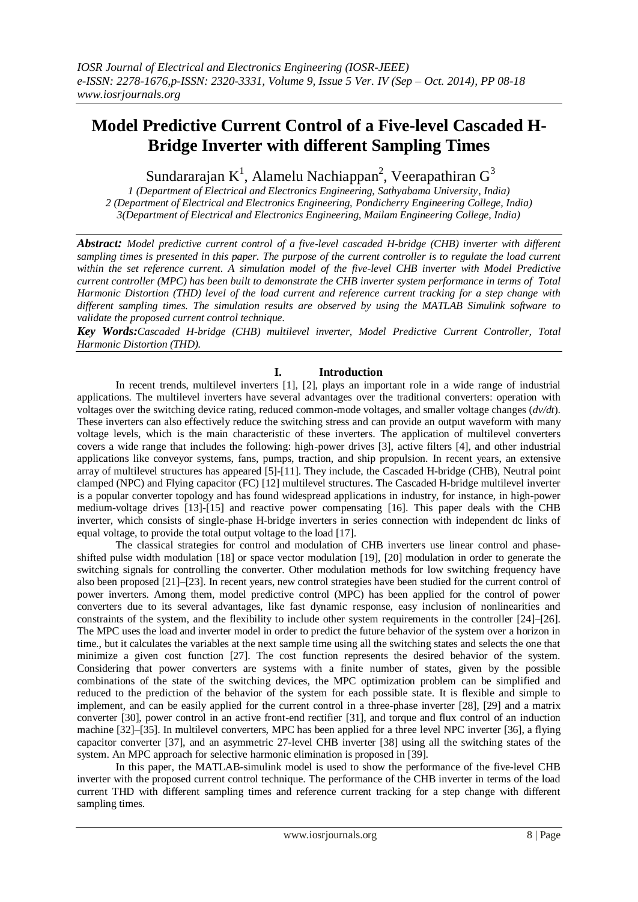# **Model Predictive Current Control of a Five-level Cascaded H-Bridge Inverter with different Sampling Times**

Sundararajan K<sup>1</sup>, Alamelu Nachiappan<sup>2</sup>, Veerapathiran G<sup>3</sup>

*1 (Department of Electrical and Electronics Engineering, Sathyabama University, India) 2 (Department of Electrical and Electronics Engineering, Pondicherry Engineering College, India) 3(Department of Electrical and Electronics Engineering, Mailam Engineering College, India)*

*Abstract: Model predictive current control of a five-level cascaded H-bridge (CHB) inverter with different sampling times is presented in this paper. The purpose of the current controller is to regulate the load current within the set reference current. A simulation model of the five-level CHB inverter with Model Predictive current controller (MPC) has been built to demonstrate the CHB inverter system performance in terms of Total Harmonic Distortion (THD) level of the load current and reference current tracking for a step change with different sampling times. The simulation results are observed by using the MATLAB Simulink software to validate the proposed current control technique.*

*Key Words:Cascaded H-bridge (CHB) multilevel inverter, Model Predictive Current Controller, Total Harmonic Distortion (THD).*

## **I. Introduction**

In recent trends, multilevel inverters [1], [2], plays an important role in a wide range of industrial applications. The multilevel inverters have several advantages over the traditional converters: operation with voltages over the switching device rating, reduced common-mode voltages, and smaller voltage changes (*dv/dt*). These inverters can also effectively reduce the switching stress and can provide an output waveform with many voltage levels, which is the main characteristic of these inverters. The application of multilevel converters covers a wide range that includes the following: high-power drives [3], active filters [4], and other industrial applications like conveyor systems, fans, pumps, traction, and ship propulsion. In recent years, an extensive array of multilevel structures has appeared [5]-[11]. They include, the Cascaded H-bridge (CHB), Neutral point clamped (NPC) and Flying capacitor (FC) [12] multilevel structures. The Cascaded H-bridge multilevel inverter is a popular converter topology and has found widespread applications in industry, for instance, in high-power medium-voltage drives [13]-[15] and reactive power compensating [16]. This paper deals with the CHB inverter, which consists of single-phase H-bridge inverters in series connection with independent dc links of equal voltage, to provide the total output voltage to the load [17].

The classical strategies for control and modulation of CHB inverters use linear control and phaseshifted pulse width modulation [18] or space vector modulation [19], [20] modulation in order to generate the switching signals for controlling the converter. Other modulation methods for low switching frequency have also been proposed [21]–[23]. In recent years, new control strategies have been studied for the current control of power inverters. Among them, model predictive control (MPC) has been applied for the control of power converters due to its several advantages, like fast dynamic response, easy inclusion of nonlinearities and constraints of the system, and the flexibility to include other system requirements in the controller [24]–[26]. The MPC uses the load and inverter model in order to predict the future behavior of the system over a horizon in time., but it calculates the variables at the next sample time using all the switching states and selects the one that minimize a given cost function [27]. The cost function represents the desired behavior of the system. Considering that power converters are systems with a finite number of states, given by the possible combinations of the state of the switching devices, the MPC optimization problem can be simplified and reduced to the prediction of the behavior of the system for each possible state. It is flexible and simple to implement, and can be easily applied for the current control in a three-phase inverter [28], [29] and a matrix converter [30], power control in an active front-end rectifier [31], and torque and flux control of an induction machine [32]–[35]. In multilevel converters, MPC has been applied for a three level NPC inverter [36], a flying capacitor converter [37], and an asymmetric 27-level CHB inverter [38] using all the switching states of the system. An MPC approach for selective harmonic elimination is proposed in [39].

In this paper, the MATLAB-simulink model is used to show the performance of the five-level CHB inverter with the proposed current control technique. The performance of the CHB inverter in terms of the load current THD with different sampling times and reference current tracking for a step change with different sampling times.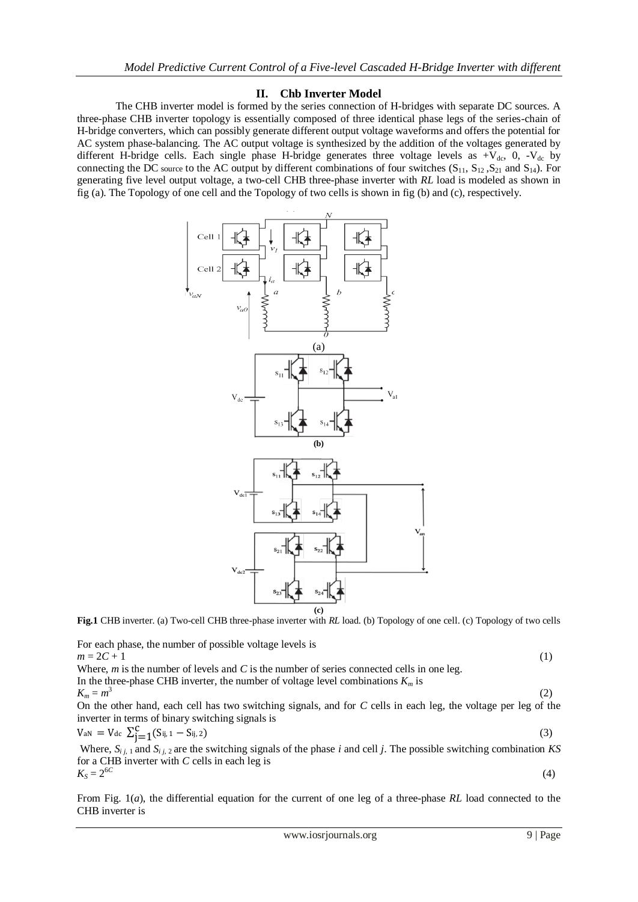### **II. Chb Inverter Model**

The CHB inverter model is formed by the series connection of H-bridges with separate DC sources. A three-phase CHB inverter topology is essentially composed of three identical phase legs of the series-chain of H-bridge converters, which can possibly generate different output voltage waveforms and offers the potential for AC system phase-balancing. The AC output voltage is synthesized by the addition of the voltages generated by different H-bridge cells. Each single phase H-bridge generates three voltage levels as  $+V_{dc}$ , 0,  $-V_{dc}$  by connecting the DC source to the AC output by different combinations of four switches  $(S_{11}, S_{12}, S_{21}$  and  $S_{14}$ ). For generating five level output voltage, a two-cell CHB three-phase inverter with *RL* load is modeled as shown in fig (a). The Topology of one cell and the Topology of two cells is shown in fig (b) and (c), respectively.



**Fig.1** CHB inverter. (a) Two-cell CHB three-phase inverter with *RL* load. (b) Topology of one cell. (c) Topology of two cells

For each phase, the number of possible voltage levels is  
\n
$$
m = 2C + 1
$$
 (1)  
\nWhere, *m* is the number of levels and *C* is the number of series connected cells in one leg.  
\nIn the three-phase CHB inverter, the number of voltage level combinations  $K_m$  is  
\n $K_m = m^3$  (2)  
\nOn the other hand, each cell has two switching signals, and for *C* cells in each leg, the voltage per leg of the  
\ninverter in terms of binary switching signals is  
\n $V_{aN} = V_{dc} \sum_{j=1}^{C} (S_{ij,1} - S_{ij,2})$  (3)

Where,  $S_{i,j}$  and  $S_{i,j}$  are the switching signals of the phase *i* and cell *j*. The possible switching combination *KS* for a CHB inverter with *C* cells in each leg is  $K_S = 2^{6C}$ (4)

From Fig. 1(*a*), the differential equation for the current of one leg of a three-phase *RL* load connected to the CHB inverter is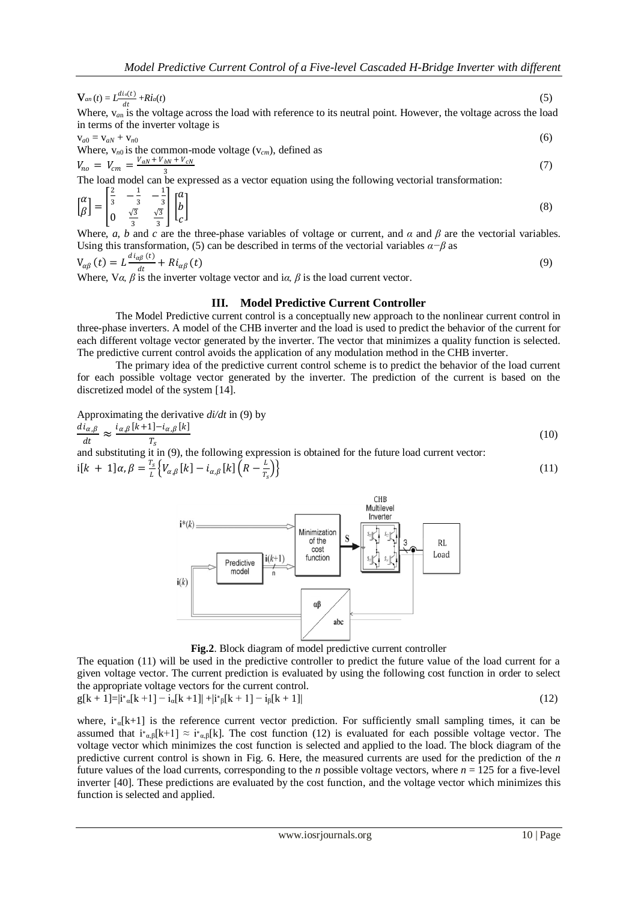$$
V_{an}(t) = L \frac{di_a(t)}{dt} + Ri_a(t) \tag{5}
$$

Where,  $v_{an}$  is the voltage across the load with reference to its neutral point. However, the voltage across the load in terms of the inverter voltage is

$$
v_{a0} = v_{aN} + v_{n0}
$$
  
Where,  $v_{n0}$  is the common-mode voltage ( $v_{cm}$ ), defined as  

$$
V_{no} = V_{cm} = \frac{V_{aN} + V_{bN} + V_{cN}}{3}
$$
 (7)

The load model can be expressed as a vector equation using the following vectorial transformation:

$$
\begin{bmatrix} \alpha \\ \beta \end{bmatrix} = \begin{bmatrix} \frac{2}{3} & -\frac{1}{3} & -\frac{1}{3} \\ 0 & \frac{\sqrt{3}}{3} & \frac{\sqrt{3}}{3} \end{bmatrix} \begin{bmatrix} \alpha \\ b \\ c \end{bmatrix}
$$
 (8)

Where, *a*, *b* and *c* are the three-phase variables of voltage or current, and  $\alpha$  and  $\beta$  are the vectorial variables. Using this transformation, (5) can be described in terms of the vectorial variables  $\alpha-\beta$  as

$$
V_{\alpha\beta}(t) = L \frac{di_{\alpha\beta}(t)}{dt} + Ri_{\alpha\beta}(t)
$$
  
Where,  $V\alpha$ ,  $\beta$  is the inverter voltage vector and i $\alpha$ ,  $\beta$  is the load current vector. (9)

#### **III. Model Predictive Current Controller**

The Model Predictive current control is a conceptually new approach to the nonlinear current control in three-phase inverters. A model of the CHB inverter and the load is used to predict the behavior of the current for each different voltage vector generated by the inverter. The vector that minimizes a quality function is selected. The predictive current control avoids the application of any modulation method in the CHB inverter.

The primary idea of the predictive current control scheme is to predict the behavior of the load current for each possible voltage vector generated by the inverter. The prediction of the current is based on the discretized model of the system [14].

Approximating the derivative *di/dt* in (9) by

$$
\frac{d\tilde{t}_{\alpha,\beta}}{dt} \approx \frac{i_{\alpha,\beta}[k+1]-i_{\alpha,\beta}[k]}{T_s}
$$
\n(10)

and substituting it in (9), the following expression is obtained for the future load current vector:  $i[k + 1]\alpha, \beta = \frac{T_s}{l}$  $\frac{I_S}{L}\Big\{ V_{\alpha,\beta}\left[k\right] - i_{\alpha,\beta}\left[k\right] \Big(R - \frac{L}{T_S}\Big\}$  $T_{\rm s}$  $\{\tag{11}\}$ 



**Fig.2**. Block diagram of model predictive current controller

The equation (11) will be used in the predictive controller to predict the future value of the load current for a given voltage vector. The current prediction is evaluated by using the following cost function in order to select the appropriate voltage vectors for the current control.

$$
g[k+1] = i^{*}{}_{\alpha}[k+1] - i_{\alpha}[k+1] + i^{*}{}_{\beta}[k+1] - i_{\beta}[k+1] \tag{12}
$$

where,  $i^*_{\alpha}$ [k+1] is the reference current vector prediction. For sufficiently small sampling times, it can be assumed that  $i_{\alpha,\beta}[k+1] \approx i_{\alpha,\beta}[k]$ . The cost function (12) is evaluated for each possible voltage vector. The voltage vector which minimizes the cost function is selected and applied to the load. The block diagram of the predictive current control is shown in Fig. 6. Here, the measured currents are used for the prediction of the *n*  future values of the load currents, corresponding to the *n* possible voltage vectors, where  $n = 125$  for a five-level inverter [40]. These predictions are evaluated by the cost function, and the voltage vector which minimizes this function is selected and applied.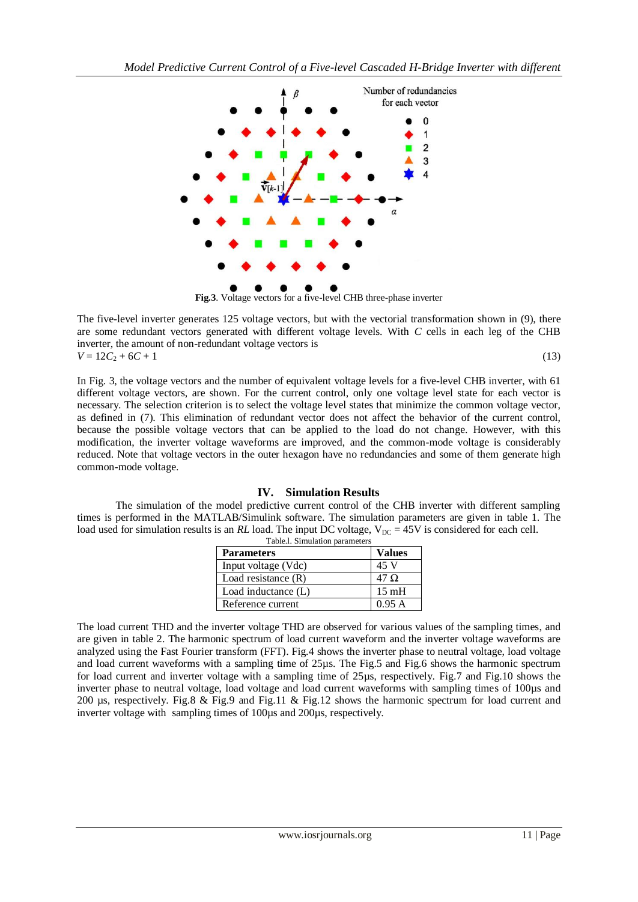

**Fig.3**. Voltage vectors for a five-level CHB three-phase inverter

The five-level inverter generates 125 voltage vectors, but with the vectorial transformation shown in (9), there are some redundant vectors generated with different voltage levels. With *C* cells in each leg of the CHB inverter, the amount of non-redundant voltage vectors is  $V = 12C_2 + 6C + 1$  (13)

In Fig. 3, the voltage vectors and the number of equivalent voltage levels for a five-level CHB inverter, with 61 different voltage vectors, are shown. For the current control, only one voltage level state for each vector is necessary. The selection criterion is to select the voltage level states that minimize the common voltage vector, as defined in (7). This elimination of redundant vector does not affect the behavior of the current control, because the possible voltage vectors that can be applied to the load do not change. However, with this modification, the inverter voltage waveforms are improved, and the common-mode voltage is considerably reduced. Note that voltage vectors in the outer hexagon have no redundancies and some of them generate high common-mode voltage.

## **IV. Simulation Results**

The simulation of the model predictive current control of the CHB inverter with different sampling times is performed in the MATLAB/Simulink software. The simulation parameters are given in table 1. The load used for simulation results is an *RL* load. The input DC voltage,  $V_{DC} = 45V$  is considered for each cell. Table.l. Simulation parameters

| <b>Parameters</b>     | Values          |
|-----------------------|-----------------|
| Input voltage (Vdc)   | 45 V            |
| Load resistance $(R)$ | $47 \Omega$     |
| Load inductance (L)   | $15 \text{ mH}$ |
| Reference current     | 0.95 A          |

The load current THD and the inverter voltage THD are observed for various values of the sampling times, and are given in table 2. The harmonic spectrum of load current waveform and the inverter voltage waveforms are analyzed using the Fast Fourier transform (FFT). Fig.4 shows the inverter phase to neutral voltage, load voltage and load current waveforms with a sampling time of 25µs. The Fig.5 and Fig.6 shows the harmonic spectrum for load current and inverter voltage with a sampling time of 25µs, respectively. Fig.7 and Fig.10 shows the inverter phase to neutral voltage, load voltage and load current waveforms with sampling times of 100 $\mu$ s and 200 µs, respectively. Fig.8 & Fig.9 and Fig.11 & Fig.12 shows the harmonic spectrum for load current and inverter voltage with sampling times of 100µs and 200µs, respectively.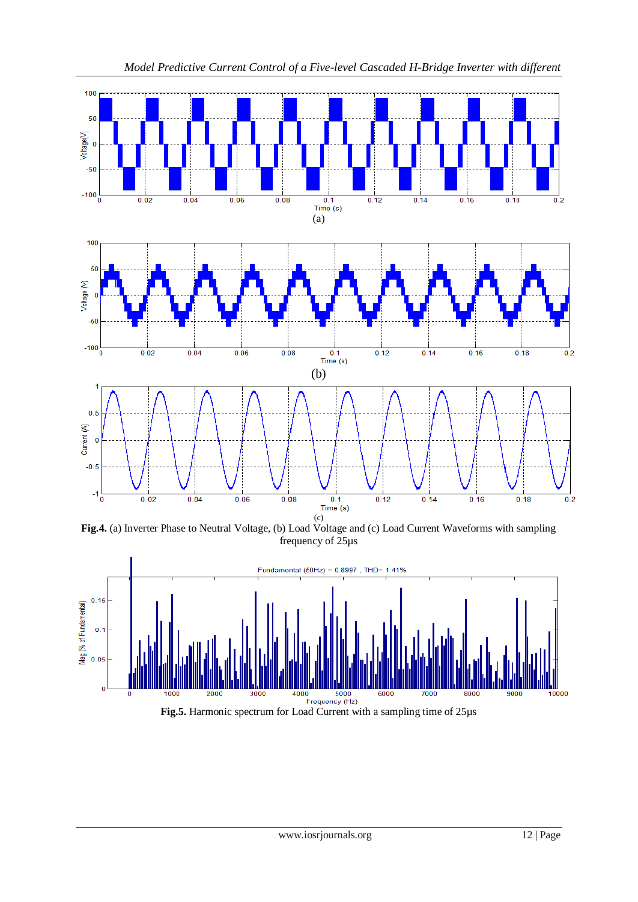

*Model Predictive Current Control of a Five-level Cascaded H-Bridge Inverter with different*

**Fig.4.** (a) Inverter Phase to Neutral Voltage, (b) Load Voltage and (c) Load Current Waveforms with sampling frequency of 25µs

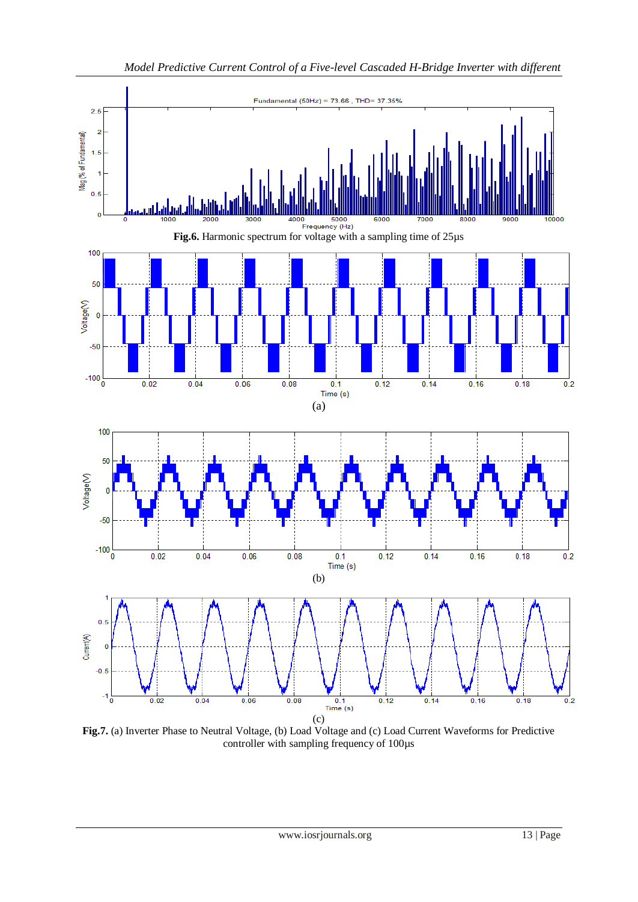

**Fig.7.** (a) Inverter Phase to Neutral Voltage, (b) Load Voltage and (c) Load Current Waveforms for Predictive controller with sampling frequency of 100µs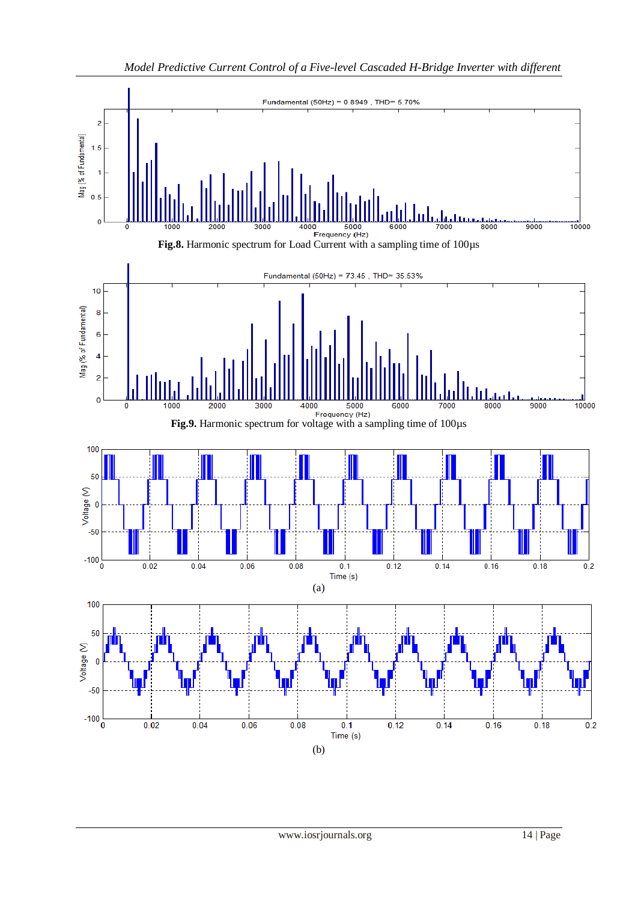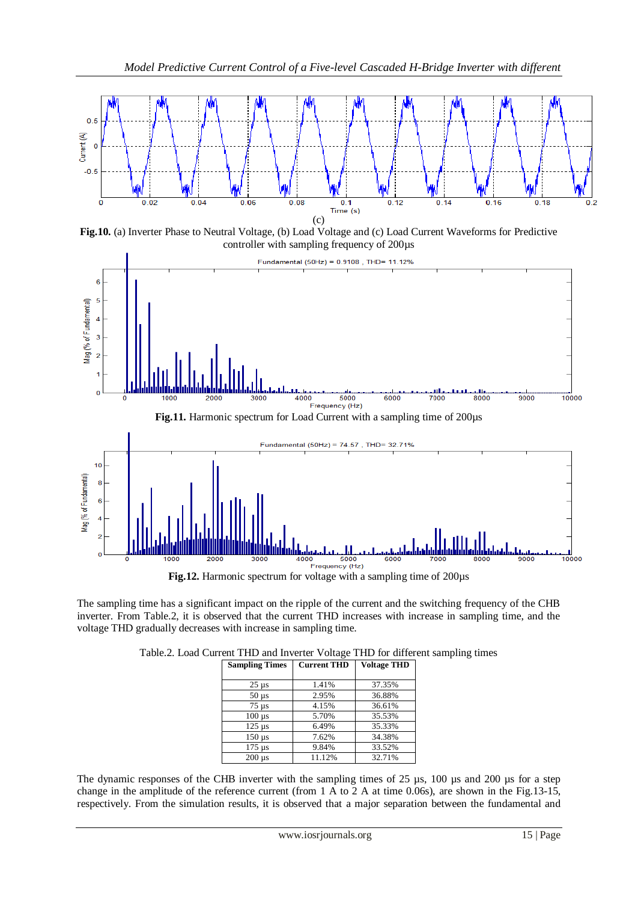

**Fig.10.** (a) Inverter Phase to Neutral Voltage, (b) Load Voltage and (c) Load Current Waveforms for Predictive controller with sampling frequency of 200µs



The sampling time has a significant impact on the ripple of the current and the switching frequency of the CHB inverter. From Table.2, it is observed that the current THD increases with increase in sampling time, and the voltage THD gradually decreases with increase in sampling time.

|  |  |  |  | Table.2. Load Current THD and Inverter Voltage THD for different sampling times |  |
|--|--|--|--|---------------------------------------------------------------------------------|--|
|  |  |  |  |                                                                                 |  |

| <b>Sampling Times</b>     | <b>Current THD</b> | <b>Voltage THD</b> |
|---------------------------|--------------------|--------------------|
|                           |                    |                    |
| $25 \mu s$                | 1.41%              | 37.35%             |
| $50 \mu s$                | 2.95%              | 36.88%             |
| $75 \mu s$                | 4.15%              | 36.61%             |
| $100 \text{ }\mu\text{s}$ | 5.70%              | 35.53%             |
| $125 \mu s$               | 6.49%              | 35.33%             |
| $150 \text{ }\mu\text{s}$ | 7.62%              | 34.38%             |
| $175 \text{ }\mu\text{s}$ | 9.84%              | 33.52%             |
| $200$ us                  | 11.12%             | 32.71%             |

The dynamic responses of the CHB inverter with the sampling times of 25 µs, 100 µs and 200 µs for a step change in the amplitude of the reference current (from 1 A to 2 A at time 0.06s), are shown in the Fig.13-15, respectively. From the simulation results, it is observed that a major separation between the fundamental and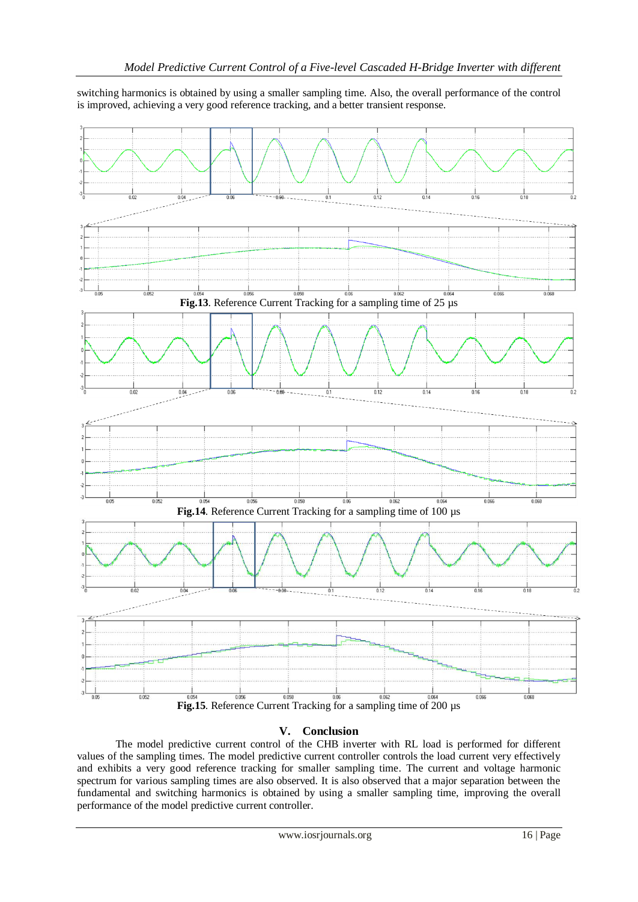switching harmonics is obtained by using a smaller sampling time. Also, the overall performance of the control is improved, achieving a very good reference tracking, and a better transient response.



## **V. Conclusion**

The model predictive current control of the CHB inverter with RL load is performed for different values of the sampling times. The model predictive current controller controls the load current very effectively and exhibits a very good reference tracking for smaller sampling time. The current and voltage harmonic spectrum for various sampling times are also observed. It is also observed that a major separation between the fundamental and switching harmonics is obtained by using a smaller sampling time, improving the overall performance of the model predictive current controller.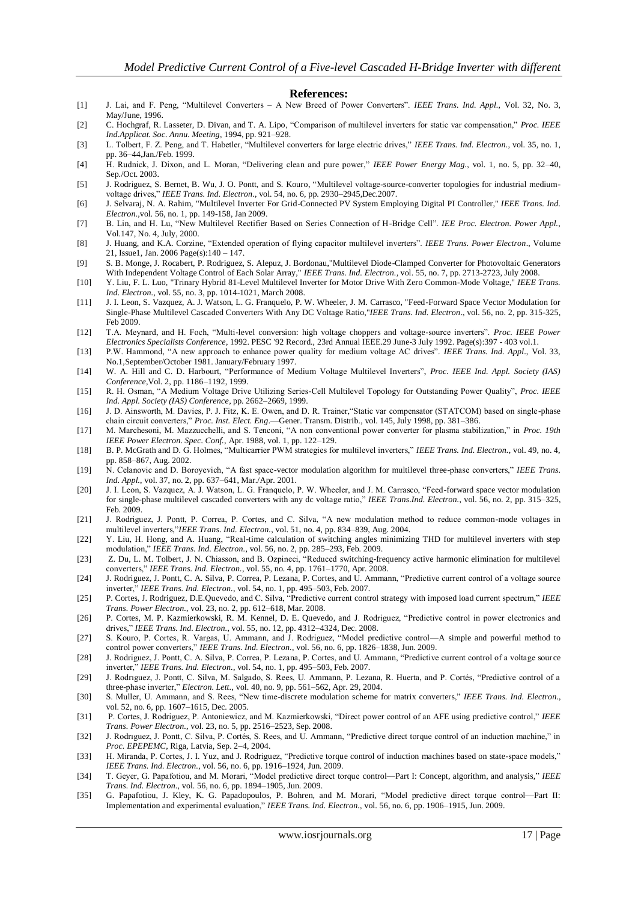#### **References:**

- [1] J. Lai, and F. Peng, "Multilevel Converters A New Breed of Power Converters". IEEE Trans. Ind. Appl., Vol. 32, No. 3, May/June, 1996.
- [2] C. Hochgraf, R. Lasseter, D. Divan, and T. A. Lipo, "Comparison of multilevel inverters for static var compensation," Proc. IEEE *Ind.Applicat. Soc. Annu. Meeting*, 1994, pp. 921–928.
- [3] L. Tolbert, F. Z. Peng, and T. Habetler, "Multilevel converters for large electric drives," IEEE Trans. Ind. Electron., vol. 35, no. 1, pp. 36–44,Jan./Feb. 1999.
- [4] H. Rudnick, J. Dixon, and L. Moran, "Delivering clean and pure power," IEEE Power Energy Mag., vol. 1, no. 5, pp. 32–40, Sep./Oct. 2003.
- [5] J. Rodriguez, S. Bernet, B. Wu, J. O. Pontt, and S. Kouro, "Multilevel voltage-source-converter topologies for industrial mediumvoltage drives,‖ *IEEE Trans. Ind. Electron*., vol. 54, no. 6, pp. 2930–2945,Dec.2007.
- [6] J. Selvaraj, N. A. Rahim, "Multilevel Inverter For Grid-Connected PV System Employing Digital PI Controller," *IEEE Trans. Ind. Electron.*,vol. 56, no. 1, pp. 149-158, Jan 2009.
- [7] B. Lin, and H. Lu, "New Multilevel Rectifier Based on Series Connection of H-Bridge Cell". *IEE Proc. Electron. Power Appl.*, Vol.147, No. 4, July, 2000.
- [8] J. Huang, and K.A. Corzine, "Extended operation of flying capacitor multilevel inverters". *IEEE Trans. Power Electron*., Volume 21, Issue1, Jan. 2006 Page(s):140 – 147.
- [9] S. B. Monge, J. Rocabert, P. Rodriguez, S. Alepuz, J. Bordonau,"Multilevel Diode-Clamped Converter for Photovoltaic Generators With Independent Voltage Control of Each Solar Array," *IEEE Trans. Ind. Electron.*, vol. 55, no. 7, pp. 2713-2723, July 2008.
- [10] Y. Liu, F. L. Luo, "Trinary Hybrid 81-Level Multilevel Inverter for Motor Drive With Zero Common-Mode Voltage," *IEEE Trans. Ind. Electron.*, vol. 55, no. 3, pp. 1014-1021, March 2008.
- [11] J. I. Leon, S. Vazquez, A. J. Watson, L. G. Franquelo, P. W. Wheeler, J. M. Carrasco, "Feed-Forward Space Vector Modulation for Single-Phase Multilevel Cascaded Converters With Any DC Voltage Ratio,"*IEEE Trans. Ind. Electron*., vol. 56, no. 2, pp. 315-325, Feb 2009.
- [12] T.A. Meynard, and H. Foch, "Multi-level conversion: high voltage choppers and voltage-source inverters". Proc. IEEE Power *Electronics Specialists Conference*, 1992. PESC '92 Record., 23rd Annual IEEE.29 June-3 July 1992. Page(s):397 - 403 vol.1.
- [13] P.W. Hammond, "A new approach to enhance power quality for medium voltage AC drives". *IEEE Trans. Ind. Appl.*, Vol. 33, No.1,September/October 1981. January/February 1997.
- [14] W. A. Hill and C. D. Harbourt, "Performance of Medium Voltage Multilevel Inverters", *Proc. IEEE Ind. Appl. Society (IAS) Conference*,Vol. 2, pp. 1186–1192, 1999.
- [15] R. H. Osman, "A Medium Voltage Drive Utilizing Series-Cell Multilevel Topology for Outstanding Power Quality", Proc. IEEE *Ind. Appl. Society (IAS) Conference*, pp. 2662–2669, 1999.
- [16] J. D. Ainsworth, M. Davies, P. J. Fitz, K. E. Owen, and D. R. Trainer, "Static var compensator (STATCOM) based on single-phase chain circuit converters,‖ *Proc. Inst. Elect. Eng*.—Gener. Transm. Distrib., vol. 145, July 1998, pp. 381–386.
- [17] M. Marchesoni, M. Mazzucchelli, and S. Tenconi, "A non conventional power converter for plasma stabilization," in *Proc. 19th IEEE Power Electron. Spec. Conf.*, Apr. 1988, vol. 1, pp. 122–129.
- [18] B. P. McGrath and D. G. Holmes, "Multicarrier PWM strategies for multilevel inverters," IEEE Trans. Ind. Electron., vol. 49, no. 4, pp. 858–867, Aug. 2002.
- [19] N. Celanovic and D. Boroyevich, "A fast space-vector modulation algorithm for multilevel three-phase converters," *IEEE Trans. Ind. Appl.*, vol. 37, no. 2, pp. 637–641, Mar./Apr. 2001.
- [20] J. I. Leon, S. Vazquez, A. J. Watson, L. G. Franquelo, P. W. Wheeler, and J. M. Carrasco, "Feed-forward space vector modulation for single-phase multilevel cascaded converters with any dc voltage ratio," IEEE Trans.Ind. Electron., vol. 56, no. 2, pp. 315–325, Feb. 2009.
- [21] J. Rodriguez, J. Pontt, P. Correa, P. Cortes, and C. Silva, "A new modulation method to reduce common-mode voltages in multilevel inverters,"*IEEE Trans. Ind. Electron.*, vol. 51, no. 4, pp. 834–839, Aug. 2004.
- [22] Y. Liu, H. Hong, and A. Huang, "Real-time calculation of switching angles minimizing THD for multilevel inverters with step modulation,‖ *IEEE Trans. Ind. Electron.*, vol. 56, no. 2, pp. 285–293, Feb. 2009.
- [23] Z. Du, L. M. Tolbert, J. N. Chiasson, and B. Ozpineci, "Reduced switching-frequency active harmonic elimination for multilevel converters,‖ *IEEE Trans. Ind. Electron.*, vol. 55, no. 4, pp. 1761–1770, Apr. 2008.
- [24] J. Rodriguez, J. Pontt, C. A. Silva, P. Correa, P. Lezana, P. Cortes, and U. Ammann, "Predictive current control of a voltage source inverter," IEEE Trans. Ind. Electron., vol. 54, no. 1, pp. 495-503, Feb. 2007.
- [25] P. Cortes, J. Rodriguez, D.E.Quevedo, and C. Silva, "Predictive current control strategy with imposed load current spectrum," *IEEE Trans. Power Electron.*, vol. 23, no. 2, pp. 612–618, Mar. 2008.
- [26] P. Cortes, M. P. Kazmierkowski, R. M. Kennel, D. E. Quevedo, and J. Rodriguez, "Predictive control in power electronics and drives,‖ *IEEE Trans. Ind. Electron.*, vol. 55, no. 12, pp. 4312–4324, Dec. 2008.
- [27] S. Kouro, P. Cortes, R. Vargas, U. Ammann, and J. Rodriguez, "Model predictive control—A simple and powerful method to control power converters," IEEE Trans. Ind. Electron., vol. 56, no. 6, pp. 1826-1838, Jun. 2009.
- [28] J. Rodriguez, J. Pontt, C. A. Silva, P. Correa, P. Lezana, P. Cortes, and U. Ammann, "Predictive current control of a voltage source inverter," *IEEE Trans. Ind. Electron.*, vol. 54, no. 1, pp. 495–503, Feb. 2007.
- [29] J. Rodriguez, J. Pontt, C. Silva, M. Salgado, S. Rees, U. Ammann, P. Lezana, R. Huerta, and P. Cortés, "Predictive control of a three-phase inverter," *Electron. Lett.*, vol. 40, no. 9, pp. 561–562, Apr. 29, 2004.
- [30] S. Muller, U. Ammann, and S. Rees, "New time-discrete modulation scheme for matrix converters," IEEE Trans. Ind. Electron., vol. 52, no. 6, pp. 1607–1615, Dec. 2005.
- [31] P. Cortes, J. Rodriguez, P. Antoniewicz, and M. Kazmierkowski, "Direct power control of an AFE using predictive control," IEEE *Trans. Power Electron.*, vol. 23, no. 5, pp. 2516–2523, Sep. 2008.
- [32] J. Rodriguez, J. Pontt, C. Silva, P. Cortés, S. Rees, and U. Ammann, "Predictive direct torque control of an induction machine," in *Proc. EPEPEMC*, Riga, Latvia, Sep. 2–4, 2004.
- [33] H. Miranda, P. Cortes, J. I. Yuz, and J. Rodriguez, "Predictive torque control of induction machines based on state-space models," *IEEE Trans. Ind. Electron.*, vol. 56, no. 6, pp. 1916–1924, Jun. 2009.
- [34] T. Geyer, G. Papafotiou, and M. Morari, "Model predictive direct torque control—Part I: Concept, algorithm, and analysis," IEEE *Trans. Ind. Electron.*, vol. 56, no. 6, pp. 1894–1905, Jun. 2009.
- [35] G. Papafotiou, J. Kley, K. G. Papadopoulos, P. Bohren, and M. Morari, "Model predictive direct torque control--Part II: Implementation and experimental evaluation," *IEEE Trans. Ind. Electron.*, vol. 56, no. 6, pp. 1906–1915, Jun. 2009.